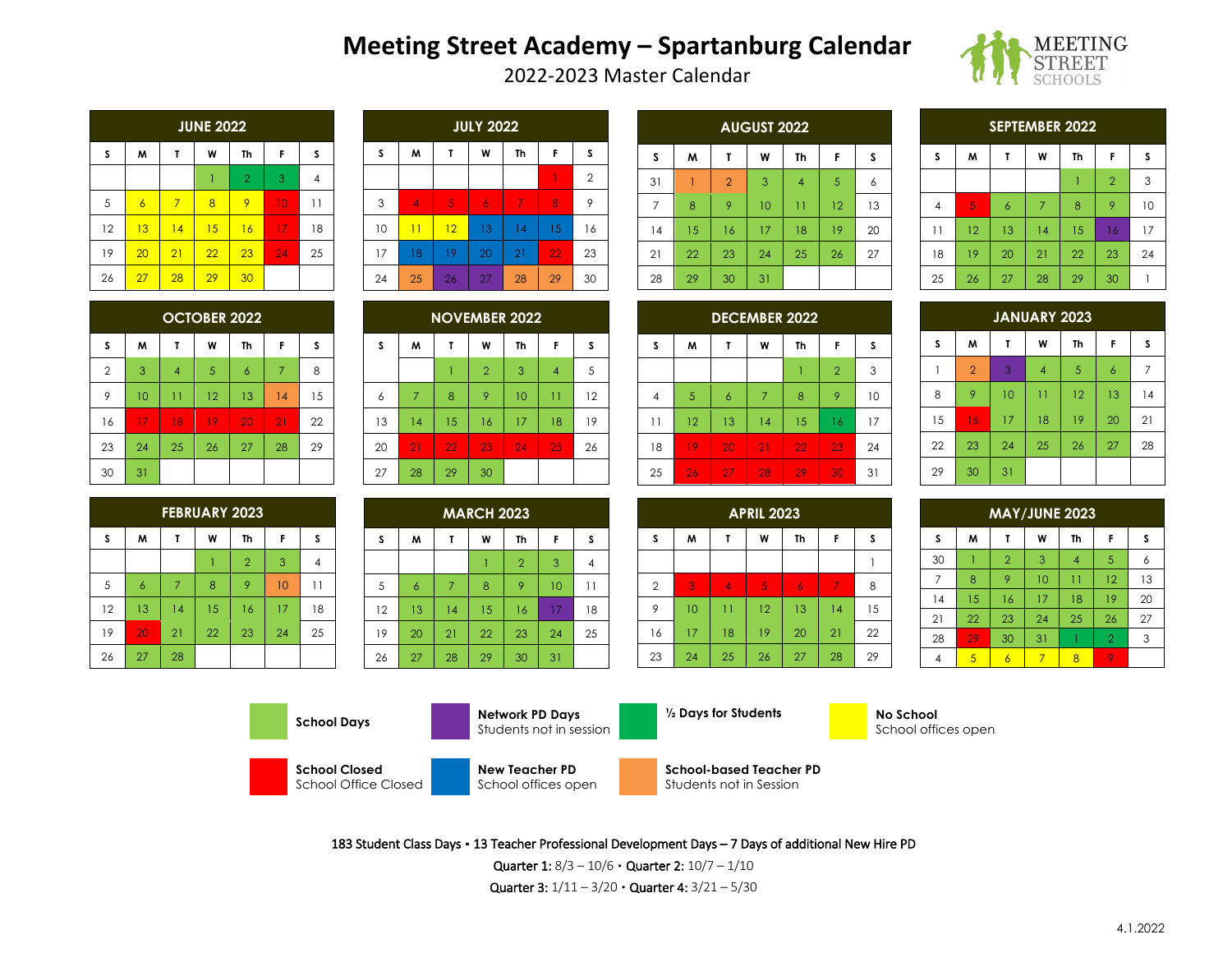# **Meeting Street Academy – Spartanburg Calendar** 2022-2023 Master Calendar



|    | <b>JUNE 2022</b> |                |    |                |    |                |  |  |
|----|------------------|----------------|----|----------------|----|----------------|--|--|
| S  | M                | T              | W  | Th             | F  | S              |  |  |
|    |                  |                |    | $\overline{2}$ | 3  | 4              |  |  |
| 5  | $\overline{6}$   | $\overline{7}$ | 8  | 9              | 10 | $\overline{1}$ |  |  |
| 12 | 13               | 14             | 15 | 16             | 17 | 18             |  |  |
| 19 | 20               | 21             | 22 | 23             | 24 | 25             |  |  |
| 26 | 27               | 28             | 29 | 30             |    |                |  |  |

|    | <b>JULY 2022</b> |    |    |    |    |                |  |  |
|----|------------------|----|----|----|----|----------------|--|--|
| S  | M                | T  | W  | Th | F  | S              |  |  |
|    |                  |    |    |    |    | $\overline{2}$ |  |  |
| 3  | $\overline{4}$   | 5  | 6  | 7  | 8  | 9              |  |  |
| 10 | $\overline{11}$  | 12 | 13 | 14 | 15 | 16             |  |  |
| 17 | 18               | 19 | 20 | 21 | 22 | 23             |  |  |
| 24 | 25               | 26 | 27 | 28 | 29 | 30             |  |  |

| <b>AUGUST 2022</b> |    |                |    |                 |    |    |  |  |  |
|--------------------|----|----------------|----|-----------------|----|----|--|--|--|
| S                  | W  | Τ              | W  | Th              | F  | s  |  |  |  |
| 31                 |    | $\overline{2}$ | 3  | $\overline{4}$  | 5  | 6  |  |  |  |
| $\overline{7}$     | 8  | 9              | 10 | $\overline{11}$ | 12 | 13 |  |  |  |
| 14                 | 15 | 16             | 17 | 18              | 19 | 20 |  |  |  |
| 21                 | 22 | 23             | 24 | 25              | 26 | 27 |  |  |  |
| 28                 | 29 | 30             | 31 |                 |    |    |  |  |  |

| <b>SEPTEMBER 2022</b> |                             |                 |    |    |                |    |  |  |  |
|-----------------------|-----------------------------|-----------------|----|----|----------------|----|--|--|--|
| s                     | F<br>S<br>W<br>W<br>Th<br>Τ |                 |    |    |                |    |  |  |  |
|                       |                             |                 |    |    | $\overline{2}$ | 3  |  |  |  |
| $\overline{4}$        | 5                           | $\ddot{\delta}$ | 7  | 8  | 9              | 10 |  |  |  |
| 11                    | 12                          | 13              | 14 | 15 | 16             | 17 |  |  |  |
| 18                    | 19                          | 20              | 21 | 22 | 23             | 24 |  |  |  |
| 25                    | 26                          | 27              | 28 | 29 | 30             |    |  |  |  |

| <b>OCTOBER 2022</b> |    |                |    |                |    |    |  |  |  |
|---------------------|----|----------------|----|----------------|----|----|--|--|--|
| s                   | W  | Τ              | W  | Th             | F  | s  |  |  |  |
| $\overline{2}$      | 3  | $\overline{4}$ | 5  | $\overline{6}$ | 7  | 8  |  |  |  |
| 9                   | 10 | 11             | 12 | 13             | 14 | 15 |  |  |  |
| 16                  | 17 | 18             | 19 | 20             | 21 | 22 |  |  |  |
| 23                  | 24 | 25             | 26 | 27             | 28 | 29 |  |  |  |
| 30                  | 31 |                |    |                |    |    |  |  |  |

| <b>FEBRUARY 2023</b> |                 |    |    |                |    |                |  |  |
|----------------------|-----------------|----|----|----------------|----|----------------|--|--|
| S                    | W               | т  | W  | Th             | F  | S              |  |  |
|                      |                 |    |    | $\overline{2}$ | 3  | 4              |  |  |
| 5                    | $\ddot{\delta}$ | 7  | 8  | 9              | 10 | $\overline{1}$ |  |  |
| 12                   | 13              | 14 | 15 | 16             | 17 | 18             |  |  |
| 19                   | 20              | 21 | 22 | 23             | 24 | 25             |  |  |
| 26                   | 27              | 28 |    |                |    |                |  |  |

| <b>NOVEMBER 2022</b> |                |    |                |    |                 |    |  |  |
|----------------------|----------------|----|----------------|----|-----------------|----|--|--|
| S                    | W              | T  | W              | Th | F               | S  |  |  |
|                      |                |    | $\overline{2}$ | 3  | $\overline{4}$  | 5  |  |  |
| 6                    | $\overline{7}$ | 8  | 9              | 10 | $\overline{11}$ | 12 |  |  |
| 13                   | 14             | 15 | 16             | 17 | 18              | 19 |  |  |
| 20                   | 21             | 22 | 23             | 24 | 25              | 26 |  |  |
| 27                   | 28             | 29 | 30             |    |                 |    |  |  |

| <b>MARCH 2023</b> |                |                |    |                |    |    |  |  |
|-------------------|----------------|----------------|----|----------------|----|----|--|--|
| S                 | W              |                | W  | Th             | F  | S  |  |  |
|                   |                |                |    | $\overline{2}$ | 3  | 4  |  |  |
| 5                 | $\overline{6}$ | $\overline{7}$ | 8  | 9              | 10 | 11 |  |  |
| 12                | 13             | 4              | 15 | 16             | 17 | 18 |  |  |
| 19                | 20             | 21             | 22 | 23             | 24 | 25 |  |  |
| 26                | 27             | 28             | 29 | 30             | 31 |    |  |  |

| <b>DECEMBER 2022</b> |    |                 |    |    |                |    |  |  |  |
|----------------------|----|-----------------|----|----|----------------|----|--|--|--|
| S                    | W  | τ               | W  | Th | F              | S  |  |  |  |
|                      |    |                 |    |    | $\overline{2}$ | 3  |  |  |  |
| $\overline{4}$       | 5  | $\ddot{\delta}$ | 7  | 8  | 9              | 10 |  |  |  |
| 11                   | 12 | 13              | 14 | 15 | 16             | 17 |  |  |  |
| 18                   | 19 | 20              | 21 | 22 | 23             | 24 |  |  |  |
| 25                   | 26 | 27              | 28 | 29 | 30             | 31 |  |  |  |

| <b>APRIL 2023</b> |    |                |    |                |    |    |  |  |  |
|-------------------|----|----------------|----|----------------|----|----|--|--|--|
| S                 | W  | T              | W  | Th             | F  | S  |  |  |  |
|                   |    |                |    |                |    |    |  |  |  |
| $\overline{2}$    | 3  | $\overline{4}$ | 5  | $\overline{6}$ | 7  | 8  |  |  |  |
| 9                 | 10 | 11             | 12 | 13             | 14 | 15 |  |  |  |
| 16                | 17 | 18             | 19 | 20             | 21 | 22 |  |  |  |
| 23                | 24 | 25             | 26 | 27             | 28 | 29 |  |  |  |

| <b>JANUARY 2023</b> |                |    |                 |                |                 |    |  |  |  |
|---------------------|----------------|----|-----------------|----------------|-----------------|----|--|--|--|
| s                   | W              | Τ  | W               | Th             | F               | S  |  |  |  |
|                     | $\overline{2}$ | 3  | $\overline{4}$  | $\overline{5}$ | $\ddot{\delta}$ | 7  |  |  |  |
| 8                   | 9              | 10 | $\overline{11}$ | 12             | 13              | 4  |  |  |  |
| 15                  | 16             | 17 | 18              | 19             | 20              | 21 |  |  |  |
| 22                  | 23             | 24 | 25              | 26             | 27              | 28 |  |  |  |
| 29                  | 30             | 31 |                 |                |                 |    |  |  |  |

| <b>MAY/JUNE 2023</b>             |    |                |    |                 |                |    |  |  |  |
|----------------------------------|----|----------------|----|-----------------|----------------|----|--|--|--|
| S<br>F<br>W<br>M<br>Th<br>s<br>T |    |                |    |                 |                |    |  |  |  |
| 30                               |    | $\overline{2}$ | 3  | $\overline{4}$  | 5              | 6  |  |  |  |
| 7                                | 8  | 9              | 10 | $\overline{11}$ | 12             | 13 |  |  |  |
| 14                               | 15 | 16             | 17 | 18              | 19             | 20 |  |  |  |
| 21                               | 22 | 23             | 24 | 25              | 26             | 27 |  |  |  |
| 28                               | 29 | 30             | 31 |                 | $\overline{2}$ | 3  |  |  |  |
| 4                                | 5  | 6              |    | 8               | 9              |    |  |  |  |





School offices open



**School Closed** School Office Closed



**School-based Teacher PD** Students not in Session

183 Student Class Days ▪ 13 Teacher Professional Development Days – 7 Days of additional New Hire PD

Quarter 1: 8/3 – 10/6 ▪ Quarter 2: 10/7 – 1/10

Quarter 3:  $1/11 - 3/20$  · Quarter 4:  $3/21 - 5/30$